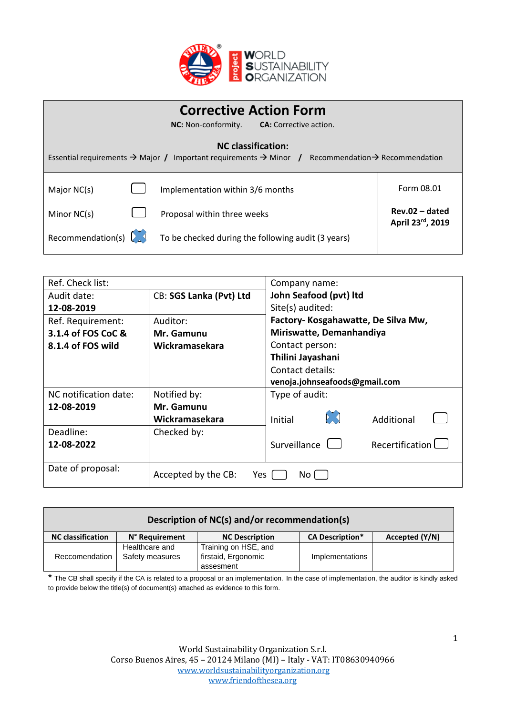

| <b>Corrective Action Form</b><br><b>NC:</b> Non-conformity.<br><b>CA:</b> Corrective action.                                          |  |                                                    |                                      |
|---------------------------------------------------------------------------------------------------------------------------------------|--|----------------------------------------------------|--------------------------------------|
| <b>NC</b> classification:                                                                                                             |  |                                                    |                                      |
| Essential requirements $\rightarrow$ Major / Important requirements $\rightarrow$ Minor / Recommendation $\rightarrow$ Recommendation |  |                                                    |                                      |
| Major NC(s)                                                                                                                           |  | Implementation within 3/6 months                   | Form 08.01                           |
| Minor NC(s)                                                                                                                           |  | Proposal within three weeks                        | $Rev.02 - dated$<br>April 23rd, 2019 |
| Recommendation(s)                                                                                                                     |  | To be checked during the following audit (3 years) |                                      |

| Ref. Check list:      |                            | Company name:                                |
|-----------------------|----------------------------|----------------------------------------------|
| Audit date:           | CB: SGS Lanka (Pvt) Ltd    | John Seafood (pvt) ltd                       |
| 12-08-2019            |                            | Site(s) audited:                             |
| Ref. Requirement:     | Auditor:                   | Factory- Kosgahawatte, De Silva Mw,          |
| 3.1.4 of FOS CoC &    | Mr. Gamunu                 | Miriswatte, Demanhandiya                     |
| 8.1.4 of FOS wild     | Wickramasekara             | Contact person:                              |
|                       |                            | Thilini Jayashani                            |
|                       |                            | Contact details:                             |
|                       |                            | venoja.johnseafoods@gmail.com                |
| NC notification date: | Notified by:               | Type of audit:                               |
| 12-08-2019            | Mr. Gamunu                 |                                              |
|                       | Wickramasekara             | Initial<br>Additional                        |
| Deadline:             | Checked by:                |                                              |
| 12-08-2022            |                            | Recertification <sup>[</sup><br>Surveillance |
|                       |                            |                                              |
| Date of proposal:     | Accepted by the CB:<br>Yes | No l                                         |

| Description of NC(s) and/or recommendation(s) |                 |                       |                        |                |  |
|-----------------------------------------------|-----------------|-----------------------|------------------------|----------------|--|
| <b>NC classification</b>                      | N° Requirement  | <b>NC Description</b> | <b>CA Description*</b> | Accepted (Y/N) |  |
|                                               | Healthcare and  | Training on HSE, and  |                        |                |  |
| Reccomendation                                | Safety measures | firstaid, Ergonomic   | Implementations        |                |  |
|                                               |                 | assesment             |                        |                |  |

\* The CB shall specify if the CA is related to a proposal or an implementation. In the case of implementation, the auditor is kindly asked to provide below the title(s) of document(s) attached as evidence to this form.